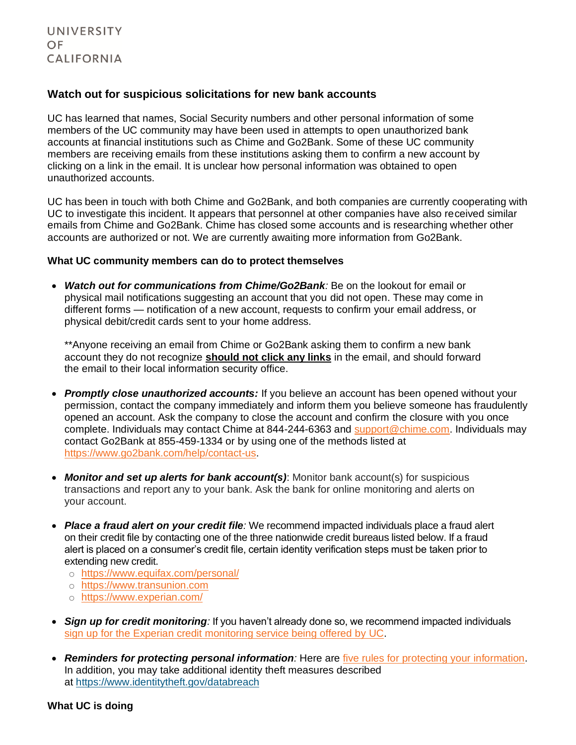## **Watch out for suspicious solicitations for new bank accounts**

UC has learned that names, Social Security numbers and other personal information of some members of the UC community may have been used in attempts to open unauthorized bank accounts at financial institutions such as Chime and Go2Bank. Some of these UC community members are receiving emails from these institutions asking them to confirm a new account by clicking on a link in the email. It is unclear how personal information was obtained to open unauthorized accounts.

UC has been in touch with both Chime and Go2Bank, and both companies are currently cooperating with UC to investigate this incident. It appears that personnel at other companies have also received similar emails from Chime and Go2Bank. Chime has closed some accounts and is researching whether other accounts are authorized or not. We are currently awaiting more information from Go2Bank.

## **What UC community members can do to protect themselves**

• *Watch out for communications from Chime/Go2Bank:* Be on the lookout for email or physical mail notifications suggesting an account that you did not open. These may come in different forms — notification of a new account, requests to confirm your email address, or physical debit/credit cards sent to your home address.

\*\*Anyone receiving an email from Chime or Go2Bank asking them to confirm a new bank account they do not recognize **should not click any links** in the email, and should forward the email to their local information security office.

- *Promptly close unauthorized accounts:* If you believe an account has been opened without your permission, contact the company immediately and inform them you believe someone has fraudulently opened an account. Ask the company to close the account and confirm the closure with you once complete. Individuals may contact Chime at 844-244-6363 and [support@chime.com.](mailto:support@chime.com) Individuals may contact Go2Bank at 855-459-1334 or by using one of the methods listed at [https://www.go2bank.com/help/contact-us.](https://www.go2bank.com/help/contact-us)
- *Monitor and set up alerts for bank account(s)*: Monitor bank account(s) for suspicious transactions and report any to your bank. Ask the bank for online monitoring and alerts on your account.
- *Place a fraud alert on your credit file:* We recommend impacted individuals place a fraud alert on their credit file by contacting one of the three nationwide credit bureaus listed below. If a fraud alert is placed on a consumer's credit file, certain identity verification steps must be taken prior to extending new credit.
	- o <https://www.equifax.com/personal/>
	- o [https://www.transunion.com](https://www.transunion.com/)
	- o <https://www.experian.com/>
- *Sign up for credit monitoring:* If you haven't already done so, we recommend impacted individuals sign up for the Experian credit [monitoring service being offered by UC.](https://ucnet.universityofcalifornia.edu/data-security/updates-faq/index.html#experian)
- *Reminders for protecting personal information:* Here are [five rules for protecting your](https://ucnet.universityofcalifornia.edu/news/2021/03/five-rules-for-protecting-your-security-online.html) information. In addition, you may take additional identity theft measures described at <https://www.identitytheft.gov/databreach>